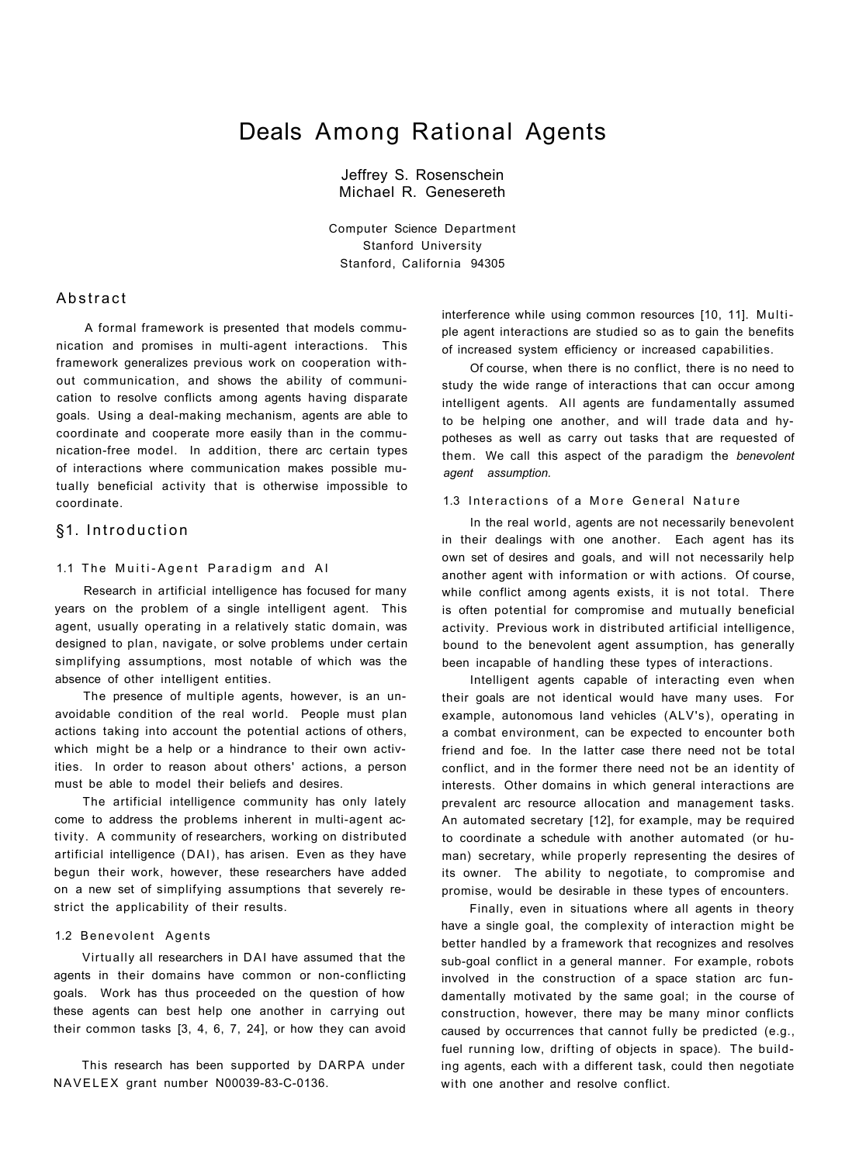# Deals Among Rational Agents

Jeffrey S. Rosenschein Michael R. Genesereth

Computer Science Department Stanford University Stanford, California 94305

## Abstract

A formal framework is presented that models communication and promises in multi-agent interactions. This framework generalizes previous work on cooperation without communication, and shows the ability of communication to resolve conflicts among agents having disparate goals. Using a deal-making mechanism, agents are able to coordinate and cooperate more easily than in the communication-free model. In addition, there arc certain types of interactions where communication makes possible mutually beneficial activity that is otherwise impossible to coordinate.

## §1. Introduction

## 1.1 The Muiti-Agent Paradigm and Al

Research in artificial intelligence has focused for many years on the problem of a single intelligent agent. This agent, usually operating in a relatively static domain, was designed to plan, navigate, or solve problems under certain simplifying assumptions, most notable of which was the absence of other intelligent entities.

The presence of multiple agents, however, is an unavoidable condition of the real world. People must plan actions taking into account the potential actions of others, which might be a help or a hindrance to their own activities. In order to reason about others' actions, a person must be able to model their beliefs and desires.

The artificial intelligence community has only lately come to address the problems inherent in multi-agent activity. A community of researchers, working on distributed artificial intelligence (DAI), has arisen. Even as they have begun their work, however, these researchers have added on a new set of simplifying assumptions that severely restrict the applicability of their results.

## 1.2 Benevolent Agents

Virtually all researchers in DAI have assumed that the agents in their domains have common or non-conflicting goals. Work has thus proceeded on the question of how these agents can best help one another in carrying out their common tasks [3, 4, 6, 7, 24], or how they can avoid

This research has been supported by DARPA under NAVELEX grant number N00039-83-C-0136.

interference while using common resources [10, 11]. Multiple agent interactions are studied so as to gain the benefits of increased system efficiency or increased capabilities.

Of course, when there is no conflict, there is no need to study the wide range of interactions that can occur among intelligent agents. All agents are fundamentally assumed to be helping one another, and will trade data and hypotheses as well as carry out tasks that are requested of them. We call this aspect of the paradigm the *benevolent agent assumption.* 

#### 1.3 Interactions of a More General Nature

In the real world, agents are not necessarily benevolent in their dealings with one another. Each agent has its own set of desires and goals, and will not necessarily help another agent with information or with actions. Of course, while conflict among agents exists, it is not total. There is often potential for compromise and mutually beneficial activity. Previous work in distributed artificial intelligence, bound to the benevolent agent assumption, has generally been incapable of handling these types of interactions.

Intelligent agents capable of interacting even when their goals are not identical would have many uses. For example, autonomous land vehicles (ALV's), operating in a combat environment, can be expected to encounter both friend and foe. In the latter case there need not be total conflict, and in the former there need not be an identity of interests. Other domains in which general interactions are prevalent arc resource allocation and management tasks. An automated secretary [12], for example, may be required to coordinate a schedule with another automated (or human) secretary, while properly representing the desires of its owner. The ability to negotiate, to compromise and promise, would be desirable in these types of encounters.

Finally, even in situations where all agents in theory have a single goal, the complexity of interaction might be better handled by a framework that recognizes and resolves sub-goal conflict in a general manner. For example, robots involved in the construction of a space station arc fundamentally motivated by the same goal; in the course of construction, however, there may be many minor conflicts caused by occurrences that cannot fully be predicted (e.g., fuel running low, drifting of objects in space). The building agents, each with a different task, could then negotiate with one another and resolve conflict.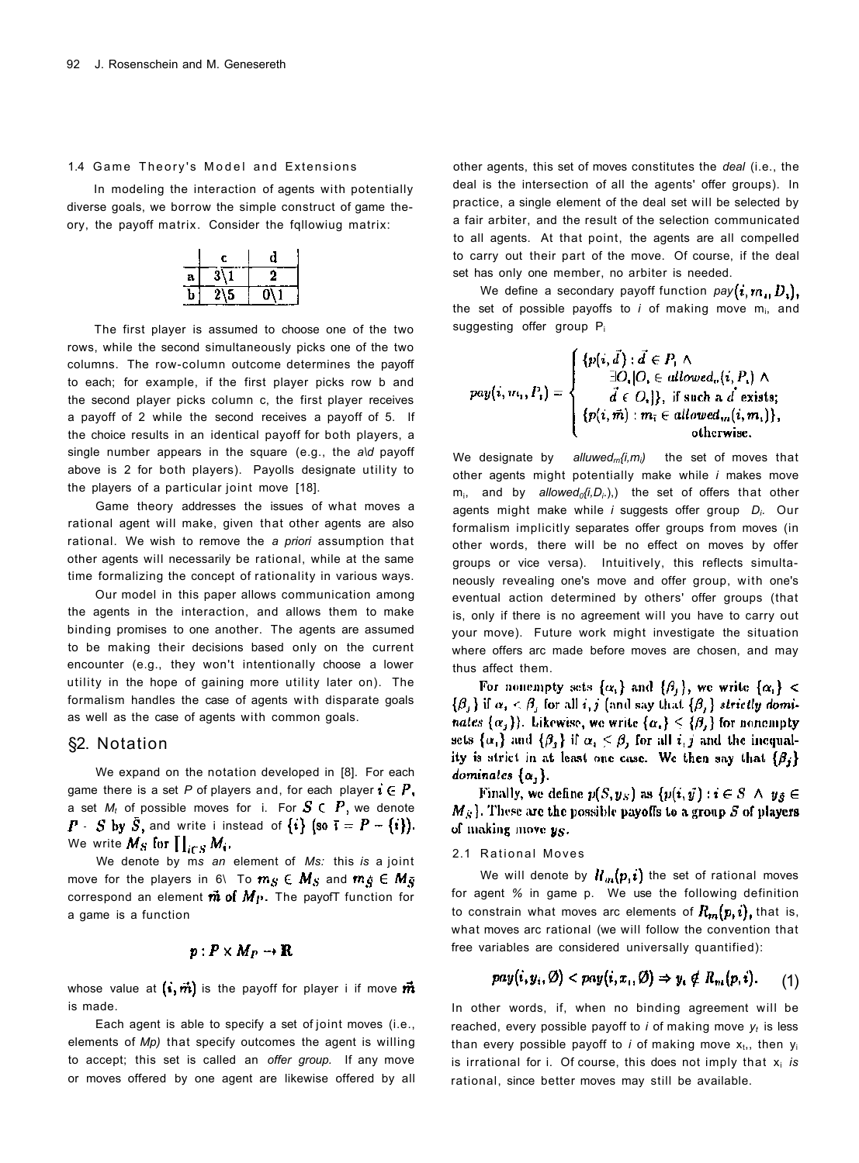#### 1.4 Game Theory's Model and Extensions

In modeling the interaction of agents with potentially diverse goals, we borrow the simple construct of game theory, the payoff matrix. Consider the fqllowiug matrix:

|    | c       | d |
|----|---------|---|
| a  | 3.      | z |
| IJ | 2<br>۰C | U |

The first player is assumed to choose one of the two rows, while the second simultaneously picks one of the two columns. The row-column outcome determines the payoff to each; for example, if the first player picks row b and the second player picks column c, the first player receives a payoff of 2 while the second receives a payoff of 5. If the choice results in an identical payoff for both players, a single number appears in the square (e.g., the *a\d* payoff above is 2 for both players). Payolls designate utility to the players of a particular joint move [18].

Game theory addresses the issues of what moves a rational agent will make, given that other agents are also rational. We wish to remove the *a priori* assumption that other agents will necessarily be rational, while at the same time formalizing the concept of rationality in various ways.

Our model in this paper allows communication among the agents in the interaction, and allows them to make binding promises to one another. The agents are assumed to be making their decisions based only on the current encounter (e.g., they won't intentionally choose a lower utility in the hope of gaining more utility later on). The formalism handles the case of agents with disparate goals as well as the case of agents with common goals.

## §2. Notation

We expand on the notation developed in [8]. For each game there is a set P of players and, for each player  $i \in P$ , a set  $M_t$  of possible moves for i. For  $S \subset P$ , we denote  $P-S$  by  $\bar{S}$ , and write i instead of  $\{i\}$  (so  $\bar{\imath} = P - \{i\}$ ). We write  $M_S$  for  $\prod_{i \in S} M_i$ .

We denote by m*s an* element of *Ms:* this *is* a joint move for the players in 6\ To  $m_S \in M_S$  and  $m_{\tilde{S}} \in M_{\tilde{S}}$ correspond an element  $\vec{m}$  of  $M_P$ . The payofT function for a game is a function

$$
p: P \times M_P \to \mathbf{R}
$$

whose value at  $(i, \vec{m})$  is the payoff for player i if move  $\vec{m}$ is made.

Each agent is able to specify a set of joint moves (i.e., elements of *Mp)* that specify outcomes the agent is willing to accept; this set is called an *offer group.* If any move or moves offered by one agent are likewise offered by all other agents, this set of moves constitutes the *deal* (i.e., the deal is the intersection of all the agents' offer groups). In practice, a single element of the deal set will be selected by a fair arbiter, and the result of the selection communicated to all agents. At that point, the agents are all compelled to carry out their part of the move. Of course, if the deal set has only one member, no arbiter is needed.

We define a secondary payoff function  $pay(i, m_{1}, D_{1}),$ the set of possible payoffs to *i* of making move mi, and suggesting offer group P<sub>i</sub>

$$
pay(i, m_i, P_i) = \begin{cases} \{p(i, \vec{d}) : \vec{d} \in P_i \land \\ \exists O_i | O_i \in allowed_n(i, P_i) \land \\ \vec{d} \in O_i\}, \text{ if such a } \vec{d} \text{ exists;} \\ \{p(i, \vec{m}) : m_i \in allowed_m(i, m_i)\}, \\ \text{otherwise.} \end{cases}
$$

We designate by *alluwedrn{i,mi)* the set of moves that other agents might potentially make while *i* makes move mi, and by *allowed0{i,Di*.),) the set of offers that other agents might make while *i* suggests offer group *Di.* Our formalism implicitly separates offer groups from moves (in other words, there will be no effect on moves by offer groups or vice versa). Intuitively, this reflects simultaneously revealing one's move and offer group, with one's eventual action determined by others' offer groups (that is, only if there is no agreement will you have to carry out your move). Future work might investigate the situation where offers arc made before moves are chosen, and may thus affect them.

For nonempty sets  $\{\alpha_i\}$  and  $\{\beta_j\}$ , we write  $\{\alpha_i\}$  <  $\{\beta_j\}$  if  $\alpha_j < \beta_j$  for all  $i, j$  (and say that  $\{\beta_j\}$  strictly dominates  $\{\alpha_i\}$ ). Likewise, we write  $\{\alpha_i\} \leq \{\beta_i\}$  for nonempty sets  $\{\alpha_i\}$  and  $\{\beta_i\}$  if  $\alpha_i \leq \beta_i$  for all  $i, j$  and the inequality is strict in at least one case. We then say that  $\{\beta_i\}$ dominates  $\{\alpha,\}$ .

Finally, we define  $p(S, y_S)$  as  $\{p(i, \vec{y}) : i \in S \land y_S \in$  $\{M_S\}.$  These are the possible payoffs to a group  $S$  of players of making move  $y_S$ .

## 2.1 Rational Moves

We will denote by  $\mathcal{H}_m(p, t)$  the set of rational moves for agent *%* in game p. We use the following definition to constrain what moves arc elements of  $R_m(p,i)$ , that is, what moves arc rational (we will follow the convention that free variables are considered universally quantified):

$$
pay(i, y_i, \emptyset) < pay(i, x_i, \emptyset) \Rightarrow y_i \notin R_m(p, i). \qquad (1)
$$

In other words, if, when no binding agreement will be reached, every possible payoff to *i* of making move *yt* is less than every possible payoff to  $i$  of making move  $x_t$ ,, then  $y_i$ is irrational for i. Of course, this does not imply that x<sub>i</sub> is rational, since better moves may still be available.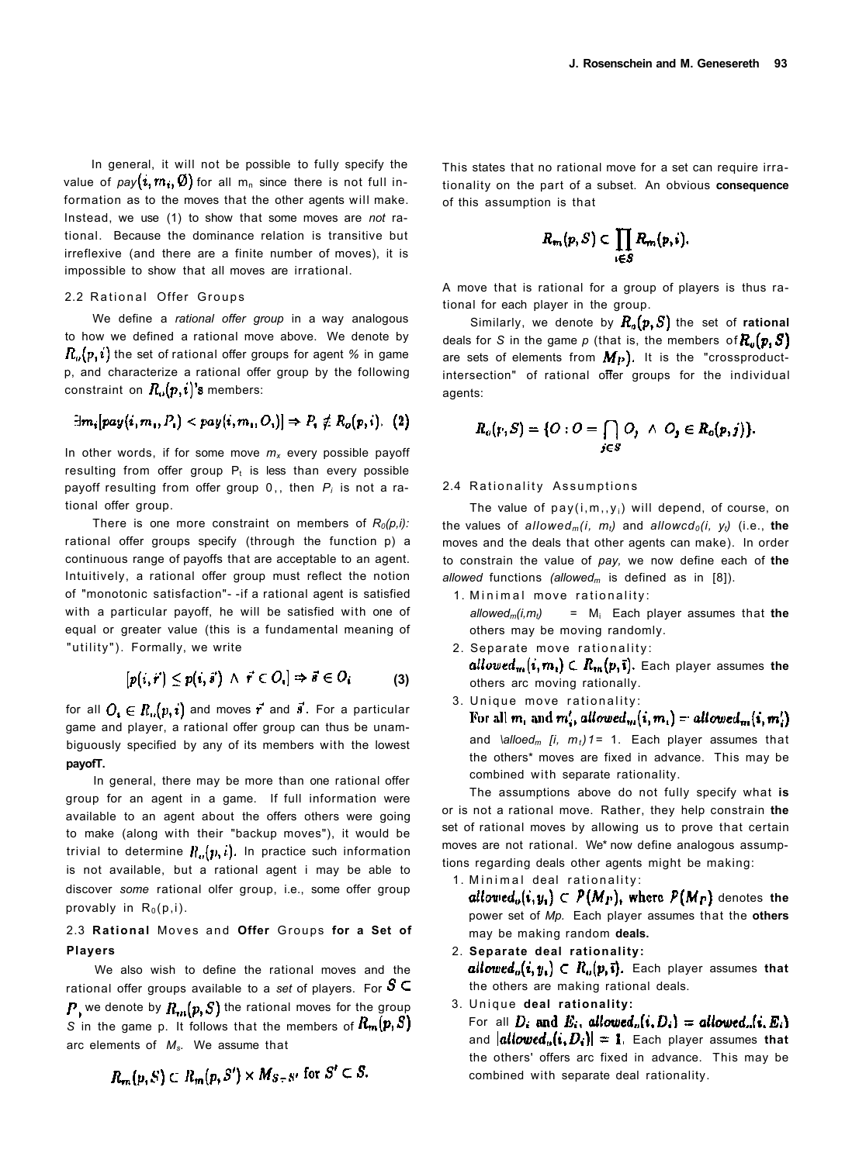In general, it will not be possible to fully specify the value of  $pay(i, m_i, \emptyset)$  for all m<sub>n</sub> since there is not full information as to the moves that the other agents will make. Instead, we use (1) to show that some moves are *not* rational. Because the dominance relation is transitive but irreflexive (and there are a finite number of moves), it is impossible to show that all moves are irrational.

### 2.2 Rational Offer Groups

We define a *rational offer group* in a way analogous to how we defined a rational move above. We denote by  $R_{\alpha}(p, i)$  the set of rational offer groups for agent % in game p, and characterize a rational offer group by the following constraint on  $R_{\omega}(p,i)$ 's members:

$$
\exists m_i [pay(i, m_i, P_i) < pay(i, m_i, O_i)] \Rightarrow P_i \notin R_o(p, i). \tag{2}
$$

In other words, if for some move  $m<sub>x</sub>$  every possible payoff resulting from offer group  $P_t$  is less than every possible payoff resulting from offer group  $0,$ , then  $P_i$  is not a rational offer group.

There is one more constraint on members of  $R_0(p,i)$ : rational offer groups specify (through the function p) a continuous range of payoffs that are acceptable to an agent. Intuitively, a rational offer group must reflect the notion of "monotonic satisfaction"- -if a rational agent is satisfied with a particular payoff, he will be satisfied with one of equal or greater value (this is a fundamental meaning of "utility"). Formally, we write

$$
[p(i, i') \leq p(i, \tilde{s}') \land i' \in O_i] \Rightarrow \tilde{s} \in O_i \qquad (3)
$$

for all  $O_i \in R_n(p, i)$  and moves  $\vec{r}$  and  $\vec{s}$ . For a particular game and player, a rational offer group can thus be unambiguously specified by any of its members with the lowest **payofT.** 

In general, there may be more than one rational offer group for an agent in a game. If full information were available to an agent about the offers others were going to make (along with their "backup moves"), it would be trivial to determine  $R_n(\boldsymbol{y}, i)$ . In practice such information is not available, but a rational agent i may be able to discover *some* rational olfer group, i.e., some offer group provably in  $R_0(p,i)$ .

# 2.3 **Rational** Moves an d **Offer** Groups **for a Set of Players**

We also wish to define the rational moves and the rational offer groups available to a set of players. For  $S \subset$  $\boldsymbol{P}_i$  we denote by  $\boldsymbol{R}_{m}(\boldsymbol{p},\boldsymbol{S})$  the rational moves for the group *S* in the game p. It follows that the members of  $R_m(p, S)$ arc elements of *Ms.* We assume that

$$
R_m(p,S) \subset R_m(p,S') \times M_{S-S'} \text{ for } S' \subset S.
$$

This states that no rational move for a set can require irrationality on the part of a subset. An obvious **consequence**  of this assumption is that

$$
R_m(p,S)\subset \prod_{i\in S}R_m(p,i).
$$

A move that is rational for a group of players is thus rational for each player in the group.

Similarly, we denote by  $R_o(p, S)$  the set of rational deals for *S* in the game  $p$  (that is, the members of  $\mathbf{R}_{u}(p, S)$ ) are sets of elements from  $M_P$ ). It is the "crossproductintersection" of rational offer groups for the individual agents:

$$
R_o(r, S) = \{O: O = \bigcap_{j \in S} O_j \ \land \ O_j \in R_o(p, j)\}.
$$

#### 2.4 Rationality Assumptions

The value of  $pay(i, m, y_i)$  will depend, of course, on the values of allowed<sub>m</sub>(i, m<sub>t</sub>) and allowcd<sub>0</sub>(i, y<sub>t</sub>) (i.e., the moves and the deals that other agents can make). In order to constrain the value of *pay,* we now define each of **the**  *allowed* functions *(allowedm* is defined as in [8]).

- 1. Minimal move rationality:  $allowed_m(i, m_i)$  = M<sub>i</sub> Each player assumes that the others may be moving randomly.
- 2. Separate move rationality:  $allowed_m(i, m_i) \in R_m(p, i)$ . Each player assumes the others arc moving rationally.
- 3. Unique move rationality: For all m, and m', allowed<sub>m</sub>(i, m<sub>i</sub>) = allowed<sub>m</sub>(i, m') and *\alloedm [i, mt)1=* 1. Each player assumes that the others\* moves are fixed in advance. This may be combined with separate rationality.

The assumptions above do not fully specify what **is**  or is not a rational move. Rather, they help constrain **the**  set of rational moves by allowing us to prove that certain moves are not rational. We\* now define analogous assumptions regarding deals other agents might be making:

1. Minimal deal rationality: allowed<sub>v</sub>(i, y<sub>1</sub>)  $\subset$   $P(M_P)$ , where  $P(M_P)$  denotes the power set of *Mp.* Each player assumes that the **others**  may be making random **deals.** 

2. **Separate deal rationality: allowed**<sub>o</sub> $(i, y_i) \subset R_o(p, i)$ . Each player assumes that the others are making rational deals.

3. Unique deal rationality: For all  $D_i$  and  $E_i$ , allowed<sub>u</sub> $(i, D_i) =$  allowed<sub>u</sub> $(i, E_i)$ and  $|$ **allowed<sub>u</sub>** $(i, D_i)| = 1$ . Each player assumes that the others' offers arc fixed in advance. This may be combined with separate deal rationality.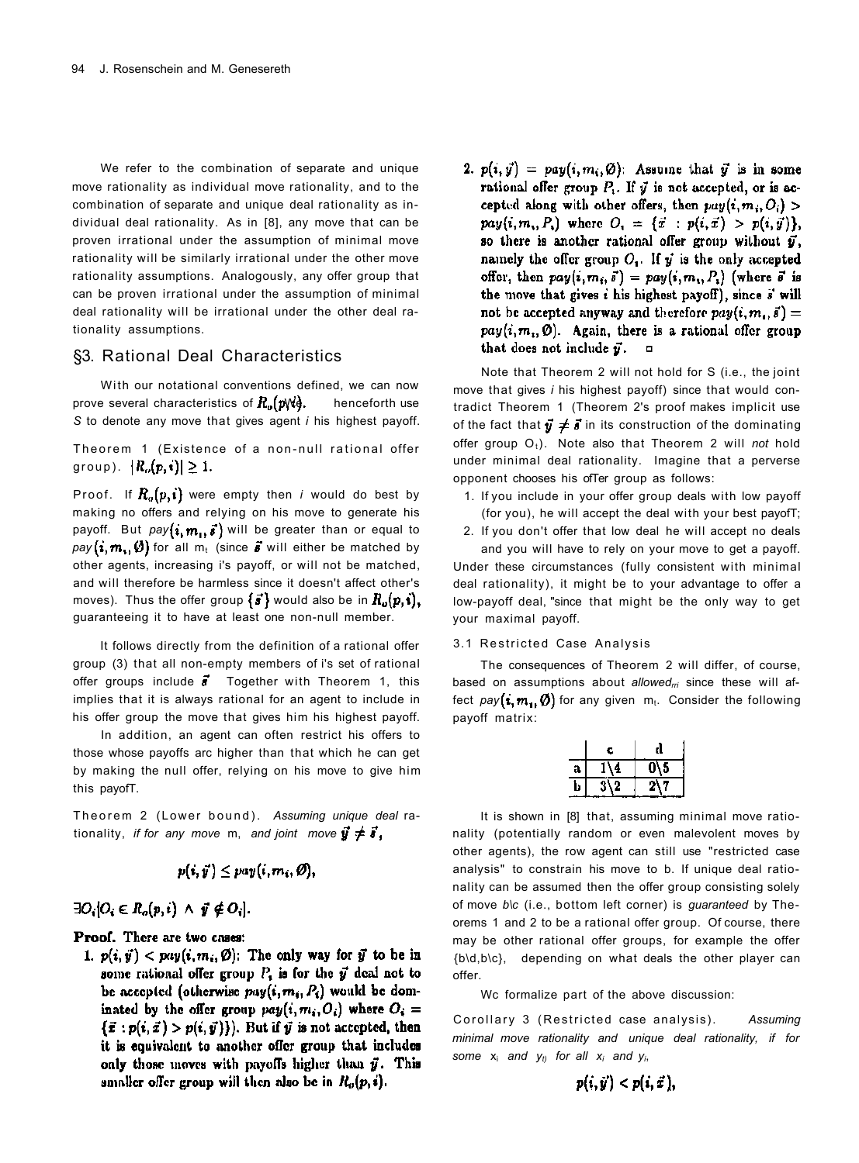We refer to the combination of separate and unique move rationality as individual move rationality, and to the combination of separate and unique deal rationality as individual deal rationality. As in [8], any move that can be proven irrational under the assumption of minimal move rationality will be similarly irrational under the other move rationality assumptions. Analogously, any offer group that can be proven irrational under the assumption of minimal deal rationality will be irrational under the other deal rationality assumptions.

# §3. Rational Deal Characteristics

With our notational conventions defined, we can now prove several characteristics of  $R_o(p|\psi)$ . henceforth use *S* to denote any move that gives agent *i* his highest payoff.

Theorem 1 (Existence of a non-null rational offer group).  $|R_{\rho}(p, \mathbf{t})| \geq 1$ .

Proof. If  $R_q(p,i)$  were empty then *i* would do best by making no offers and relying on his move to generate his payoff. But  $pay(i, m_1, \vec{s})$  will be greater than or equal to  $pay(i, m_i, \emptyset)$  for all m<sub>t</sub> (since **s** will either be matched by other agents, increasing i's payoff, or will not be matched, and will therefore be harmless since it doesn't affect other's moves). Thus the offer group  $\{\vec{s}\}\$  would also be in  $R_o(p,i)$ , guaranteeing it to have at least one non-null member.

It follows directly from the definition of a rational offer group (3) that all non-empty members of i's set of rational offer groups include  $\vec{a}$  Together with Theorem 1, this implies that it is always rational for an agent to include in his offer group the move that gives him his highest payoff.

In addition, an agent can often restrict his offers to those whose payoffs arc higher than that which he can get by making the null offer, relying on his move to give him this payofT.

Theore m 2 (Lower bound). *Assuming unique deal* rationality, *if for any move* m, and joint move  $\vec{y} \neq \vec{s}$ ,

$$
p(i, \vec{y}) \leq pay(i, m_i, \emptyset),
$$

 $\exists O_i | O_i \in R_o(p, i) \land \vec{y} \notin O_i$ .

### Proof. There are two cases:

1.  $p(i, \vec{y}) < pay(i, m_i, \emptyset)$ : The only way for  $\vec{y}$  to be in some rational offer group  $P_i$  is for the  $\vec{y}$  deal not to be accepted (otherwise  $pay(i, m_i, P_i)$  would be dominated by the offer group  $pay(i, m_i, O_i)$  where  $O_i =$  $\{\vec{x}: p(i, \vec{x}) > p(i, \vec{y})\}\)$ . But if  $\vec{y}$  is not accepted, then it is equivalent to another offer group that includes only those moves with payoffs higher than  $\vec{y}$ . This smaller offer group will then also be in  $R_o(p, i)$ .

2.  $p(i, \vec{y}) = pay(i, m_i, \emptyset)$ : Assume that  $\vec{y}$  is in some rational offer group  $P_i$ . If  $\vec{y}$  is not accepted, or is accepted along with other offers, then  $pay(i, m_i, O_i) >$  $pay(i, m_i, P_i)$  where  $O_i = {\{\vec{x} : p(i, \vec{x}) > p(i, \vec{y})\}},$ so there is another rational offer group without  $\vec{y}$ , namely the offer group  $O_i$ . If  $\vec{y}$  is the only accepted offer, then  $pay(i, m_i, \vec{s}) = pay(i, m_i, P_i)$  (where  $\vec{s}$  is the move that gives  $i$  his highest payoff), since  $\vec{s}$  will not be accepted anyway and therefore  $pay(i, m_i, \vec{s}) =$  $pay(i, m_i, \emptyset)$ . Again, there is a rational offer group that does not include  $\vec{y}$ .  $\Box$ 

Note that Theorem 2 will not hold for S (i.e., the joint move that gives *i* his highest payoff) since that would contradict Theorem 1 (Theorem 2's proof makes implicit use of the fact that  $\vec{y} \neq \vec{s}$  in its construction of the dominating offer group O<sub>t</sub>). Note also that Theorem 2 will not hold under minimal deal rationality. Imagine that a perverse opponent chooses his ofTer group as follows:

- 1. If you include in your offer group deals with low payoff (for you), he will accept the deal with your best payofT;
- 2. If you don't offer that low deal he will accept no deals and you will have to rely on your move to get a payoff.

Under these circumstances (fully consistent with minimal deal rationality), it might be to your advantage to offer a low-payoff deal, "since that might be the only way to get your maximal payoff.

## 3.1 Restricted Case Analysis

The consequences of Theorem 2 will differ, of course, based on assumptions about *allowedrri* since these will affect  $pay(i, m_1, \emptyset)$  for any given  $m_t$ . Consider the following payoff matrix:

|   | Ł      |          |
|---|--------|----------|
| a | 1\4    | ι5<br>O, |
| b | ,<br>3 |          |

It is shown in [8] that, assuming minimal move rationality (potentially random or even malevolent moves by other agents), the row agent can still use "restricted case analysis" to constrain his move to b. If unique deal rationality can be assumed then the offer group consisting solely of move *b\c* (i.e., bottom left corner) is *guaranteed* by Theorems 1 and 2 to be a rational offer group. Of course, there may be other rational offer groups, for example the offer {b\d,b\c}, depending on what deals the other player can offer.

Wc formalize part of the above discussion:

Corollary 3 (Restricted case analysis). Assuming *minimal move rationality and unique deal rationality, if for some* xi *and yt) for all xi and yi*,

$$
p(i,\vec{y}') < p(i,\vec{x}),
$$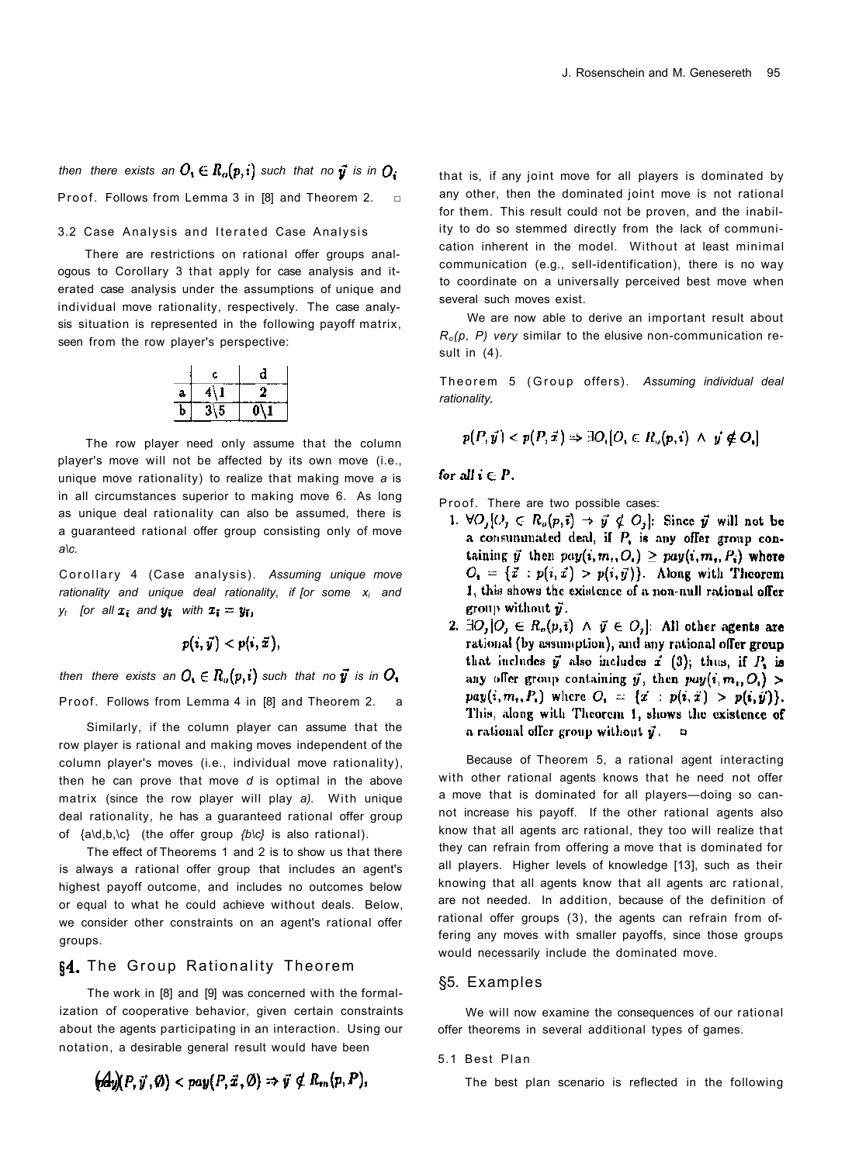*then there exists an*  $O_i \in R_o(p, i)$  *such that no*  $\vec{y}$  *is in*  $O_i$ Proof. Follows from Lemma 3 in [8] and Theorem 2.

#### 3.2 Case Analysis and Iterated Case Analysis

There are restrictions on rational offer groups analogous to Corollary 3 that apply for case analysis and iterated case analysis under the assumptions of unique and individual move rationality, respectively. The case analysis situation is represented in the following payoff matrix, seen from the row player's perspective:

|   | c       | α |
|---|---------|---|
| a | 4       |   |
| D | 3'<br>5 |   |

The row player need only assume that the column player's move will not be affected by its own move (i.e., unique move rationality) to realize that making move *a* is in all circumstances superior to making move 6. As long as unique deal rationality can also be assumed, there is a guaranteed rational offer group consisting only of move *a\c.* 

Corollary 4 (Case analysis). Assuming unique move *rationality and unique deal rationality*, *if [or some xi and y*<sup>*t*</sup> [or all  $x_i$  and  $y_i$  with  $x_i = y_i$ 

$$
p(i,\vec{y}) < p(i,\vec{x}),
$$

*then there exists an*  $O_i \in R_u(p, i)$  *such that no*  $\vec{y}$  *is in*  $O_i$ Proof. Follows from Lemma 4 in [8] and Theorem 2.

Similarly, if the column player can assume that the row player is rational and making moves independent of the column player's moves (i.e., individual move rationality), then he can prove that move *d* is optimal in the above matrix (since the row player will play *a).* With unique deal rationality, he has a guaranteed rational offer group of {a\d,b,\c} (the offer group *{b\c}* is also rational).

The effect of Theorems 1 and 2 is to show us that there is always a rational offer group that includes an agent's highest payoff outcome, and includes no outcomes below or equal to what he could achieve without deals. Below, we consider other constraints on an agent's rational offer groups.

## §4. The Group Rationality Theorem

The work in [8] and [9] was concerned with the formalization of cooperative behavior, given certain constraints about the agents participating in an interaction. Using our notation, a desirable general result would have been

$$
(\mathcal{A}_y)(P,\vec{y},\emptyset) < \text{pay}(P,\vec{x},\emptyset) \Rightarrow \vec{y} \notin R_m(p,P),
$$

that is, if any joint move for all players is dominated by any other, then the dominated joint move is not rational for them. This result could not be proven, and the inability to do so stemmed directly from the lack of communication inherent in the model. Without at least minimal communication (e.g., sell-identification), there is no way to coordinate on a universally perceived best move when several such moves exist.

We are now able to derive an important result about *Ro(p, P) very* similar to the elusive non-communication result in (4).

Theorem 5 (Group offers). Assuming individual deal *rationality,* 

$$
p(P, \vec{y}) < p(P, \vec{x}) \Rightarrow \exists O_i \big[ O_i \in R_o(p, i) \ \land \ \vec{y} \notin O_i \big]
$$

for all  $i \in P$ .

Proof. There are two possible cases:

- 1.  $\forall O_j[O_j \in R_o(p, \bar{t}) \rightarrow \bar{y} \notin O_j$ : Since  $\vec{y}$  will not be a consummated deal, if  $P_1$  is any offer group containing  $\vec{y}$  then  $pay(i, m_i, O_i) \geq pay(i, m_i, P_i)$  where  $O_i = {\vec{x} : p(i, \vec{x}) > p(i, \vec{y})}.$  Along with Theorem 1, this shows the existence of a non-null rational offer group without  $\vec{y}$ .
- 2.  $\exists O_j|O_j \in R_n(p,i) \land \vec{y} \in O_j$ : All other agents are rational (by assumption), and any rational offer group that includes  $\vec{y}$  also includes  $\vec{x}$  (3); thus, if  $P_i$  is any offer group containing  $\vec{y}$ , then  $pay(i, m_1, O_1)$  $pay(i, m_i, P_i)$  where  $O_i = \{x : p(i, \vec{x}) > p(i, \vec{y})\}.$ This, along with Theorem 1, shows the existence of a rational offer group without  $\vec{y}$ ,  $\theta$

Because of Theorem 5, a rational agent interacting with other rational agents knows that he need not offer a move that is dominated for all players—doing so cannot increase his payoff. If the other rational agents also know that all agents arc rational, they too will realize that they can refrain from offering a move that is dominated for all players. Higher levels of knowledge [13], such as their knowing that all agents know that all agents arc rational, are not needed. In addition, because of the definition of rational offer groups (3), the agents can refrain from offering any moves with smaller payoffs, since those groups would necessarily include the dominated move.

## §5. Examples

We will now examine the consequences of our rational offer theorems in several additional types of games.

#### 5.1 Best Plan

The best plan scenario is reflected in the following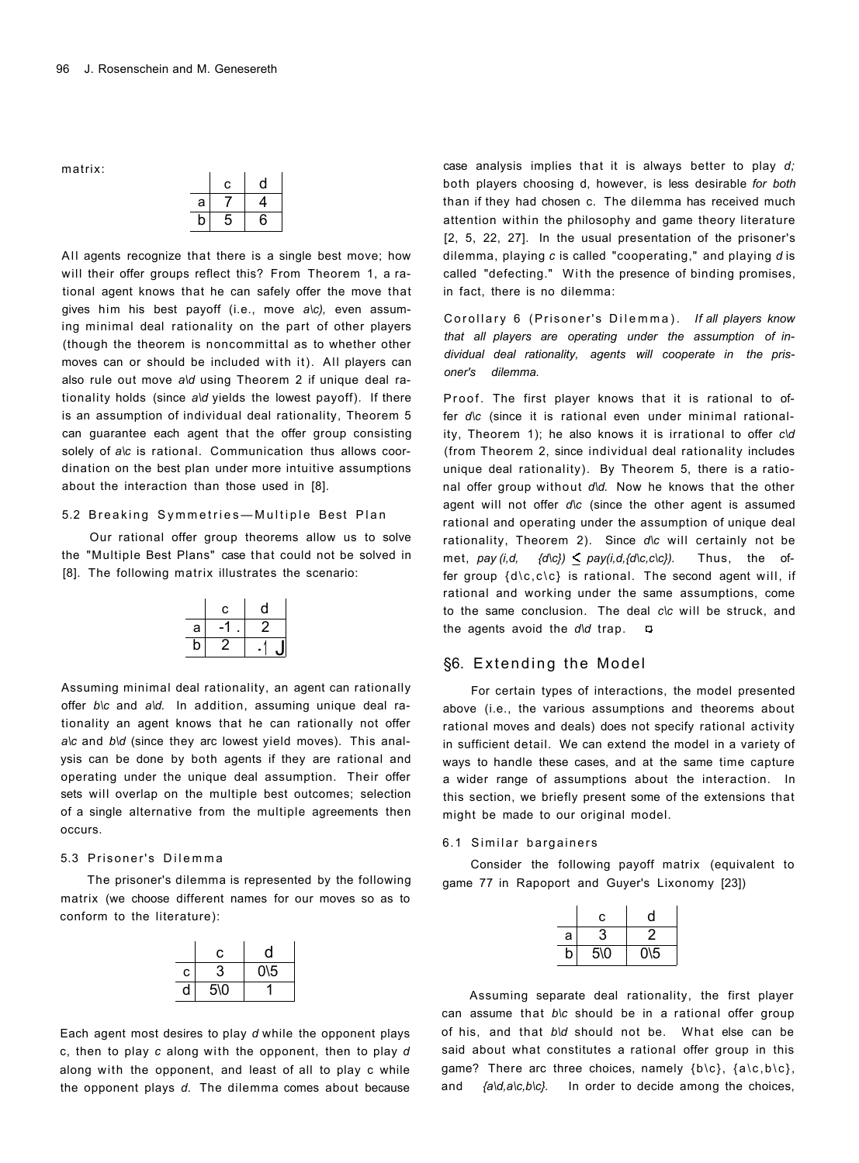matrix:

|   | C | ۵ |
|---|---|---|
| а |   | 4 |
| b | 5 | 6 |

All agents recognize that there is a single best move; how will their offer groups reflect this? From Theorem 1, a rational agent knows that he can safely offer the move that gives him his best payoff (i.e., move *a\c),* even assuming minimal deal rationality on the part of other players (though the theorem is noncommittal as to whether other moves can or should be included with it). All players can also rule out move *a\d* using Theorem 2 if unique deal rationality holds (since *a\d* yields the lowest payoff). If there is an assumption of individual deal rationality, Theorem 5 can guarantee each agent that the offer group consisting solely of *a\c* is rational. Communication thus allows coordination on the best plan under more intuitive assumptions about the interaction than those used in [8].

### 5.2 Breaking Symmetries—Multiple Best Plan

Our rational offer group theorems allow us to solve the "Multiple Best Plans" case that could not be solved in [8]. The following matrix illustrates the scenario:

|   | c | O |
|---|---|---|
| а |   |   |
| b |   |   |

Assuming minimal deal rationality, an agent can rationally offer *b\c* and *a\d.* In addition, assuming unique deal rationality an agent knows that he can rationally not offer *a\c* and *b\d* (since they arc lowest yield moves). This analysis can be done by both agents if they are rational and operating under the unique deal assumption. Their offer sets will overlap on the multiple best outcomes; selection of a single alternative from the multiple agreements then occurs.

#### 5.3 Prisoner's Dilemma

The prisoner's dilemma is represented by the following matrix (we choose different names for our moves so as to conform to the literature):

|   | с               | d      |
|---|-----------------|--------|
| C | 3               | $0\,5$ |
| d | 50 <sub>0</sub> |        |

Each agent most desires to play *d* while the opponent plays c, then to play *c* along with the opponent, then to play *d*  along with the opponent, and least of all to play c while the opponent plays *d.* The dilemma comes about because

case analysis implies that it is always better to play *d;*  both players choosing d, however, is less desirable *for both*  than if they had chosen c. The dilemma has received much attention within the philosophy and game theory literature [2, 5, 22, 27]. In the usual presentation of the prisoner's dilemma, playing *c* is called "cooperating," and playing *d* is called "defecting." With the presence of binding promises, in fact, there is no dilemma:

Corollary 6 (Prisoner's Dilemma). If all players know *that all players are operating under the assumption of individual deal rationality, agents will cooperate in the prisoner's dilemma.* 

Proof. The first player knows that it is rational to offer *d\c* (since it is rational even under minimal rationality, Theorem 1); he also knows it is irrational to offer *c\d*  (from Theorem 2, since individual deal rationality includes unique deal rationality). By Theorem 5, there is a rational offer group without *d\d.* Now he knows that the other agent will not offer *d\c* (since the other agent is assumed rational and operating under the assumption of unique deal rationality, Theorem 2). Since *d\c* will certainly not be met,  $pay (i,d, \{d\}c)$   $\leq pay (i,d,\{d\}c,c\}$ . Thus, the offer group  $\{d\backslash c, c\backslash c\}$  is rational. The second agent will, if rational and working under the same assumptions, come to the same conclusion. The deal *c\c* will be struck, and the agents avoid the *d\d* trap.

## §6. Extending the Model

For certain types of interactions, the model presented above (i.e., the various assumptions and theorems about rational moves and deals) does not specify rational activity in sufficient detail. We can extend the model in a variety of ways to handle these cases, and at the same time capture a wider range of assumptions about the interaction. In this section, we briefly present some of the extensions that might be made to our original model.

#### 6.1 Similar bargainers

Consider the following payoff matrix (equivalent to game 77 in Rapoport and Guyer's Lixonomy [23])

|   | c      | d   |
|---|--------|-----|
| a | 3      |     |
| b | $5\,0$ | 0\5 |

Assuming separate deal rationality, the first player can assume that *b\c* should be in a rational offer group of his, and that *b\d* should not be. What else can be said about what constitutes a rational offer group in this game? There arc three choices, namely  $\{b\backslash c\}$ ,  $\{a\backslash c, b\backslash c\}$ , and *{a\d,a\c,b\c}.* In order to decide among the choices,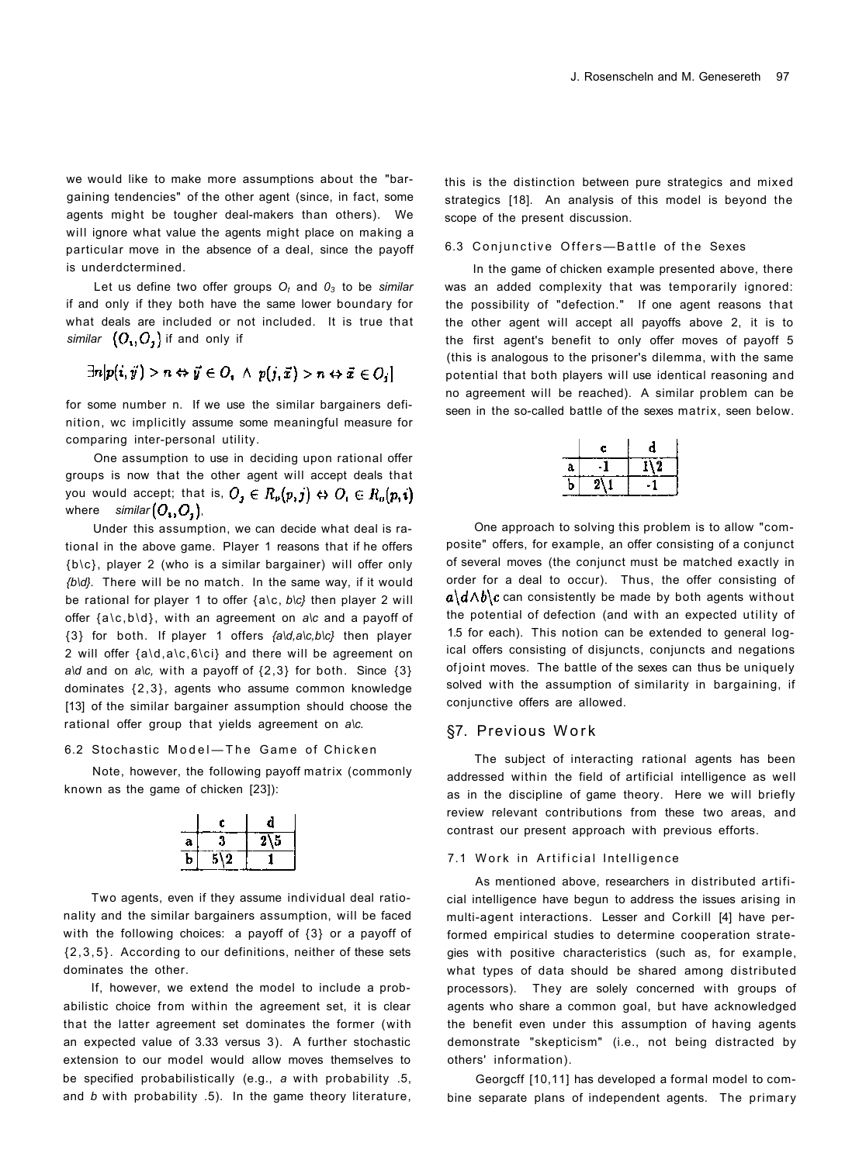we would like to make more assumptions about the "bargaining tendencies" of the other agent (since, in fact, some agents might be tougher deal-makers than others). We will ignore what value the agents might place on making a particular move in the absence of a deal, since the payoff is underdctermined.

Let us define two offer groups *Ot* and *03* to be *similar*  if and only if they both have the same lower boundary for what deals are included or not included. It is true that *similar*  $\{O_i, O_j\}$  if and only if

$$
\exists n[p(i, \vec{y}) > n \Leftrightarrow \vec{y} \in O_i \ \land \ p(j, \vec{x}) > n \Leftrightarrow \vec{x} \in O_j]
$$

for some number n. If we use the similar bargainers definition, wc implicitly assume some meaningful measure for comparing inter-personal utility.

One assumption to use in deciding upon rational offer groups is now that the other agent will accept deals that you would accept; that is,  $O_j \in R_p(p,j) \leftrightarrow O_i \in R_p(p,i)$ where  $\text{similar} \left( O_n, O_n \right)$ .

Under this assumption, we can decide what deal is rational in the above game. Player 1 reasons that if he offers {b\c}, player 2 (who is a similar bargainer) will offer only *{b\d}.* There will be no match. In the same way, if it would be rational for player 1 to offer {a\c, *b\c}* then player 2 will offer {a\c,b\d}, with an agreement on *a\c* and a payoff of {3} for both. If player 1 offers *{a\d,a\c,b\c}* then player 2 will offer {a\d,a\c,6\ci} and there will be agreement on *a\d* and on *a\c,* with a payoff of {2,3} for both. Since {3} dominates {2,3}, agents who assume common knowledge [13] of the similar bargainer assumption should choose the rational offer group that yields agreement on *a\c.* 

6.2 Stochastic Model-The Game of Chicken

Note, however, the following payoff matrix (commonly known as the game of chicken [23]):

|   | c | 0      |
|---|---|--------|
| а | æ | 5<br>A |
| D |   |        |

Two agents, even if they assume individual deal rationality and the similar bargainers assumption, will be faced with the following choices: a payoff of {3} or a payoff of {2,3,5}. According to our definitions, neither of these sets dominates the other.

If, however, we extend the model to include a probabilistic choice from within the agreement set, it is clear that the latter agreement set dominates the former (with an expected value of 3.33 versus 3). A further stochastic extension to our model would allow moves themselves to be specified probabilistically (e.g., *a* with probability .5, and *b* with probability .5). In the game theory literature,

this is the distinction between pure strategics and mixed strategics [18]. An analysis of this model is beyond the scope of the present discussion.

## 6.3 Conjunctive Offers-Battle of the Sexes

In the game of chicken example presented above, there was an added complexity that was temporarily ignored: the possibility of "defection." If one agent reasons that the other agent will accept all payoffs above 2, it is to the first agent's benefit to only offer moves of payoff 5 (this is analogous to the prisoner's dilemma, with the same potential that both players will use identical reasoning and no agreement will be reached). A similar problem can be seen in the so-called battle of the sexes matrix, seen below.

|   | c | α |
|---|---|---|
| a |   | ı |
| D |   |   |

One approach to solving this problem is to allow "composite" offers, for example, an offer consisting of a conjunct of several moves (the conjunct must be matched exactly in order for a deal to occur). Thus, the offer consisting of  $a \, d \wedge b \, c$  can consistently be made by both agents without the potential of defection (and with an expected utility of 1.5 for each). This notion can be extended to general logical offers consisting of disjuncts, conjuncts and negations of joint moves. The battle of the sexes can thus be uniquely solved with the assumption of similarity in bargaining, if conjunctive offers are allowed.

## §7. Previous Work

The subject of interacting rational agents has been addressed within the field of artificial intelligence as well as in the discipline of game theory. Here we will briefly review relevant contributions from these two areas, and contrast our present approach with previous efforts.

## 7.1 Work in Artificial Intelligence

As mentioned above, researchers in distributed artificial intelligence have begun to address the issues arising in multi-agent interactions. Lesser and Corkill [4] have performed empirical studies to determine cooperation strategies with positive characteristics (such as, for example, what types of data should be shared among distributed processors). They are solely concerned with groups of agents who share a common goal, but have acknowledged the benefit even under this assumption of having agents demonstrate "skepticism" (i.e., not being distracted by others' information).

Georgcff [10,11] has developed a formal model to combine separate plans of independent agents. The primary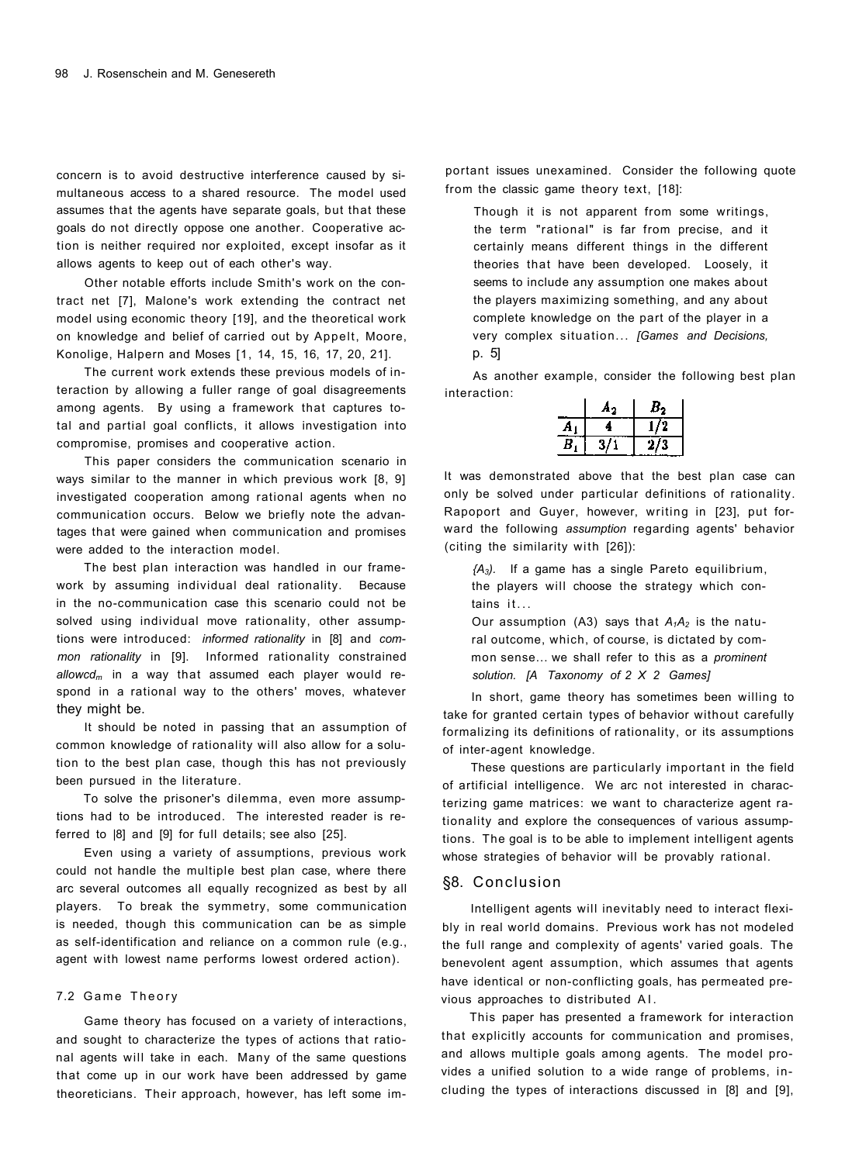concern is to avoid destructive interference caused by simultaneous access to a shared resource. The model used assumes that the agents have separate goals, but that these goals do not directly oppose one another. Cooperative action is neither required nor exploited, except insofar as it allows agents to keep out of each other's way.

Other notable efforts include Smith's work on the contract net [7], Malone's work extending the contract net model using economic theory [19], and the theoretical work on knowledge and belief of carried out by Appelt, Moore, Konolige, Halpern and Moses [1, 14, 15, 16, 17, 20, 21].

The current work extends these previous models of interaction by allowing a fuller range of goal disagreements among agents. By using a framework that captures total and partial goal conflicts, it allows investigation into compromise, promises and cooperative action.

This paper considers the communication scenario in ways similar to the manner in which previous work [8, 9] investigated cooperation among rational agents when no communication occurs. Below we briefly note the advantages that were gained when communication and promises were added to the interaction model.

The best plan interaction was handled in our framework by assuming individual deal rationality. Because in the no-communication case this scenario could not be solved using individual move rationality, other assumptions were introduced: *informed rationality* in [8] and *common rationality* in [9]. Informed rationality constrained *allowcdm* in a way that assumed each player would respond in a rational way to the others' moves, whatever they might be.

It should be noted in passing that an assumption of common knowledge of rationality will also allow for a solution to the best plan case, though this has not previously been pursued in the literature.

To solve the prisoner's dilemma, even more assumptions had to be introduced. The interested reader is referred to |8] and [9] for full details; see also [25].

Even using a variety of assumptions, previous work could not handle the multiple best plan case, where there arc several outcomes all equally recognized as best by all players. To break the symmetry, some communication is needed, though this communication can be as simple as self-identification and reliance on a common rule (e.g., agent with lowest name performs lowest ordered action).

#### 7.2 Game Theory

Game theory has focused on a variety of interactions, and sought to characterize the types of actions that rational agents will take in each. Many of the same questions that come up in our work have been addressed by game theoreticians. Their approach, however, has left some important issues unexamined. Consider the following quote from the classic game theory text, [18]:

Though it is not apparent from some writings, the term "rational" is far from precise, and it certainly means different things in the different theories that have been developed. Loosely, it seems to include any assumption one makes about the players maximizing something, and any about complete knowledge on the part of the player in a very complex situation... *[Games and Decisions,*  p. 5]

As another example, consider the following best plan interaction:

|   | Α, |    |
|---|----|----|
| A |    | ٠. |
| Ð |    | х  |

It was demonstrated above that the best plan case can only be solved under particular definitions of rationality. Rapoport and Guyer, however, writing in [23], put forward the following *assumption* regarding agents' behavior (citing the similarity with [26]):

*{A3).* If a game has a single Pareto equilibrium, the players will choose the strategy which contains it...

Our assumption (A3) says that  $A_1A_2$  is the natural outcome, which, of course, is dictated by common sense... we shall refer to this as a *prominent solution. [A Taxonomy of 2 X 2 Games]* 

In short, game theory has sometimes been willing to take for granted certain types of behavior without carefully formalizing its definitions of rationality, or its assumptions of inter-agent knowledge.

These questions are particularly important in the field of artificial intelligence. We arc not interested in characterizing game matrices: we want to characterize agent rationality and explore the consequences of various assumptions. The goal is to be able to implement intelligent agents whose strategies of behavior will be provably rational.

#### §8. Conclusion

Intelligent agents will inevitably need to interact flexibly in real world domains. Previous work has not modeled the full range and complexity of agents' varied goals. The benevolent agent assumption, which assumes that agents have identical or non-conflicting goals, has permeated previous approaches to distributed AI .

This paper has presented a framework for interaction that explicitly accounts for communication and promises, and allows multiple goals among agents. The model provides a unified solution to a wide range of problems, including the types of interactions discussed in [8] and [9],